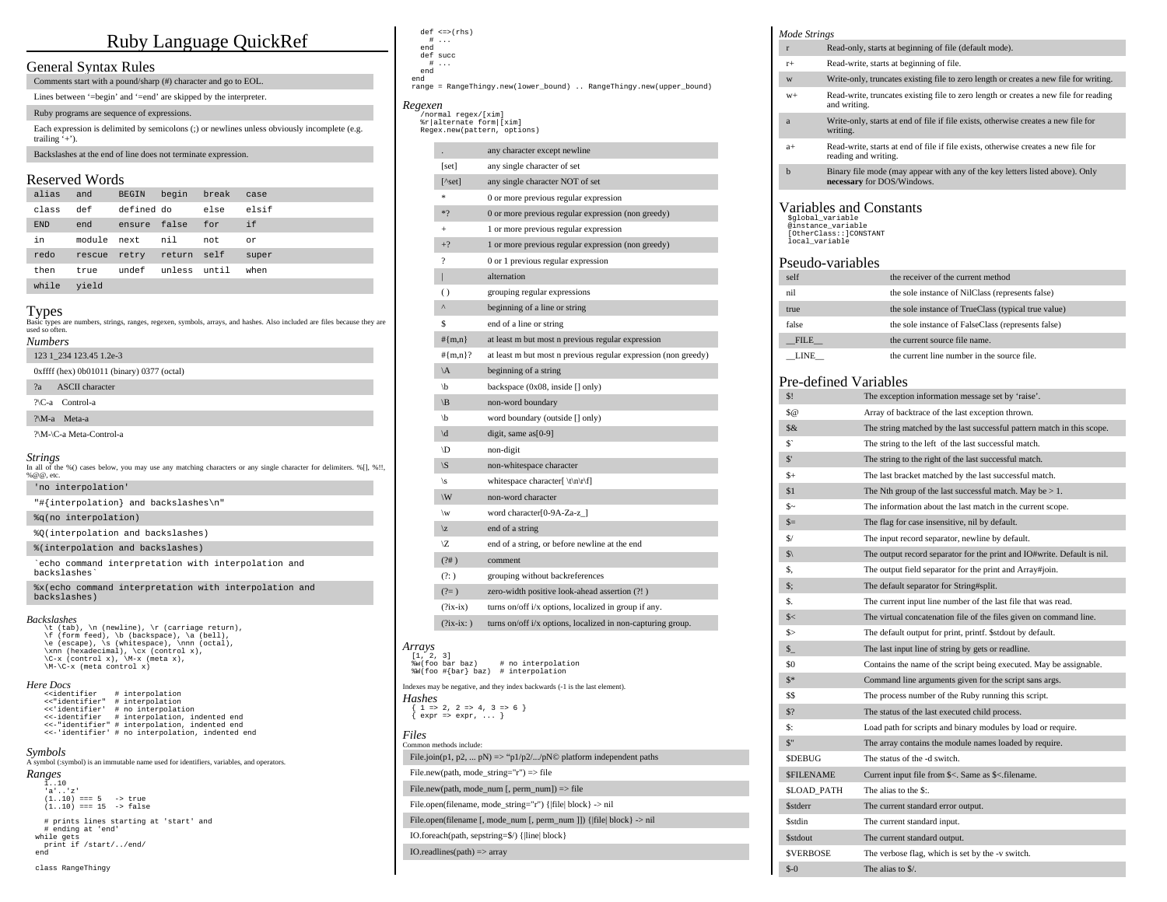# Ruby Language QuickRef

## General Syntax Rules

Comments start with a pound/sharp (#) character and go to EOL.

Lines between '=begin' and '=end' are skipped by the interpreter.

## Ruby programs are sequence of expressions.

Each expression is delimited by semicolons (;) or newlines unless obviously incomplete (e.g. trailing  $\cdot$ +').

Backslashes at the end of line does not terminate expression.

## Reserved Words

| alias      | and         | <b>BEGIN</b> | begin        | break | case  |
|------------|-------------|--------------|--------------|-------|-------|
| class      | def         | defined do   |              | else  | elsif |
| <b>END</b> | end         | ensure false |              | for   | if    |
| in         | module next |              | nil          | not   | or    |
| redo       | rescue      | retry        | return self  |       | super |
| then       | true        | undef        | unless until |       | when  |
| while      | vield       |              |              |       |       |

## Types

| Basic types are numbers, strings, ranges, regexen, symbols, arrays, and hashes. Also included are files because they are<br>used so often. |
|--------------------------------------------------------------------------------------------------------------------------------------------|
| Numbers                                                                                                                                    |
| 123 1 234 123.45 1.2e-3                                                                                                                    |
| $0x$ ffff (hex) $0b01011$ (binary) 0377 (octal)                                                                                            |
| <b>ASCII</b> character<br>2a                                                                                                               |
| ?\C-a Control-a                                                                                                                            |
| ?\M-a Meta-a                                                                                                                               |

## ?\M-\C-a Meta-Control-a

| <i><b>Strings</b></i><br>In all of the %() cases below, you may use any matching characters or any single character for delimiters. % $[1, 0, 1]$ ,<br>% @ @. etc. |
|--------------------------------------------------------------------------------------------------------------------------------------------------------------------|
| 'no interpolation'                                                                                                                                                 |
| "#{interpolation} and backslashes\n"                                                                                                                               |
| %q(no interpolation)                                                                                                                                               |
| %0(interpolation and backslashes)                                                                                                                                  |
| %(interpolation and backslashes)                                                                                                                                   |
| `echo command interpretation with interpolation and<br>backslashes'                                                                                                |
| %x(echo command interpretation with interpolation and<br>backslashes)                                                                                              |
|                                                                                                                                                                    |

### *Backslashes*

\t (tab), \n (newline), \r (carriage return), \f (form feed), \b (backspace), \a (bell), \e (escape), \s (whitespace), \nnn (octal), \xnn (hexadecimal), \cx (control x), \C-x (control x), \M-x (meta x), \M-\C-x (meta control x)

### *Here Docs*

| < <identifier< th=""><th># interpolation</th></identifier<> | # interpolation                                  |
|-------------------------------------------------------------|--------------------------------------------------|
| <<"identifier"                                              | # interpolation                                  |
| <<'identifier'                                              | # no interpolation                               |
| <<-identifier                                               | # interpolation, indented end                    |
|                                                             | <<-"identifier" # interpolation, indented end    |
|                                                             | <<-'identifier' # no interpolation, indented end |

### *Symbols*

A symbol (:symbol) is an immutable name used for identifiers, variables, and operators. *Ranges*

- 1..10 'a'..'z'  $(1..10) == 5 -> true$ <br> $(1..10) == 15 -> false$
- # prints lines starting at 'start' and # ending at 'end' while gets print if /start/../end/ end

class RangeThingy

#### def <=>(rhs) # ...

- end def succ
	- # ...
	- end

 end range = RangeThingy.new(lower\_bound) .. RangeThingy.new(upper\_bound)

## *Regexen*

 /normal regex/[xim] %r|alternate form|[xim] Regex.new(pattern, options)

|                     |                                       | any character except newline                                   |
|---------------------|---------------------------------------|----------------------------------------------------------------|
|                     | [set]                                 | any single character of set                                    |
|                     | $[^\wedge\text{set}]$                 | any single character NOT of set                                |
|                     | *                                     | 0 or more previous regular expression                          |
|                     | $*$ ?                                 | 0 or more previous regular expression (non greedy)             |
|                     | $+$                                   | 1 or more previous regular expression                          |
|                     | $+?$                                  | 1 or more previous regular expression (non greedy)             |
|                     | 2                                     | 0 or 1 previous regular expression                             |
|                     | ı                                     | alternation                                                    |
|                     | $\left( \right)$                      | grouping regular expressions                                   |
|                     | Λ                                     | beginning of a line or string                                  |
|                     | \$                                    | end of a line or string                                        |
|                     | $#{m,n}$                              | at least m but most n previous regular expression              |
|                     | # ${m,n}$ ?                           | at least m but most n previous regular expression (non greedy) |
|                     | $\setminus A$                         | beginning of a string                                          |
|                     | \b                                    | backspace $(0x08, \text{inside } \lceil \cdot \rceil)$ only)   |
|                     | $\setminus B$                         | non-word boundary                                              |
|                     | \b                                    | word boundary (outside [] only)                                |
|                     | $\mathbf{b}/$                         | digit, same $as[0-9]$                                          |
|                     | ١D                                    | non-digit                                                      |
|                     | $\setminus S$                         | non-whitespace character                                       |
|                     | \s                                    | whitespace character $\{\n \tln\ r\}$                          |
|                     | W                                     | non-word character                                             |
|                     | $\mathbf w$                           | word character[0-9A-Za-z]                                      |
|                     | $\mathbf{z}$                          | end of a string                                                |
|                     | ۱Z                                    | end of a string, or before newline at the end                  |
|                     | (?)                                   | comment                                                        |
|                     | (?)                                   | grouping without backreferences                                |
|                     | $(2=)$                                | zero-width positive look-ahead assertion (?!)                  |
|                     | $(?ix-ix)$                            | turns on/off i/x options, localized in group if any.           |
|                     | $(?ix-ix: )$                          | turns on/off i/x options, localized in non-capturing group.    |
| Arrays<br>[1, 2, 3] | %w(foo bar baz)<br>%W(foo #{bar} baz) | # no interpolation<br># interpolation                          |

Indexes may be negative, and they index backwards (-1 is the last element).

*Hashes*  $\{ 1 \Rightarrow 2, 2 \Rightarrow 4, 3 \Rightarrow 6 \}$ <br> $\{ \text{expr} \Rightarrow \text{expr}, \dots \}$ 

#### *Files* Common methods include:

File.join(p1, p2, ...  $pN$ ) => "p1/p2/.../pN© platform independent paths

File.new(path, mode\_string="r") => file

File.new(path, mode\_num [, perm\_num]) => file

File.open(filename, mode\_string="r") {|file| block} -> nil

File.open(filename [, mode\_num [, perm\_num ]]) {|file| block } -> nil

IO.foreach(path, sepstring=\$/) {|line| block}

IO.readlines(path) => array

## *Mode Strings*

- r Read-only, starts at beginning of file (default mode). r+ Read-write, starts at beginning of file.
- w Write-only, truncates existing file to zero length or creates a new file for writing.
- w+ Read-write, truncates existing file to zero length or creates a new file for reading and writing.
- a Write-only, starts at end of file if file exists, otherwise creates a new file for writing.
- a+ Read-write, starts at end of file if file exists, otherwise creates a new file for reading and writing.
- b Binary file mode (may appear with any of the key letters listed above). Only **necessary** for DOS/Windows.

#### Variables and Constants \$global\_variable

 @instance\_variable [OtherClass::]CONSTANT

## local variable

## Pseudo-variables

| self        | the receiver of the current method                  |
|-------------|-----------------------------------------------------|
| nil         | the sole instance of NilClass (represents false)    |
| true        | the sole instance of TrueClass (typical true value) |
| false       | the sole instance of FalseClass (represents false)  |
| <b>FILE</b> | the current source file name.                       |
| LINE        | the current line number in the source file.         |

## Pre-defined Variables

| ᆞ                 |                                                                         |
|-------------------|-------------------------------------------------------------------------|
| \$!               | The exception information message set by 'raise'.                       |
| \$@               | Array of backtrace of the last exception thrown.                        |
| $\delta \&$       | The string matched by the last successful pattern match in this scope.  |
| s.                | The string to the left of the last successful match.                    |
| $\mathbb{S}^*$    | The string to the right of the last successful match.                   |
| $_{s+}$           | The last bracket matched by the last successful match.                  |
| \$1               | The Nth group of the last successful match. May be $> 1$ .              |
| s~                | The information about the last match in the current scope.              |
| $S=$              | The flag for case insensitive, nil by default.                          |
| S/                | The input record separator, newline by default.                         |
| $s_1$             | The output record separator for the print and IO#write. Default is nil. |
| \$.               | The output field separator for the print and Array#join.                |
| $\mathbb{S}$ :    | The default separator for String#split.                                 |
| S.                | The current input line number of the last file that was read.           |
| s<                | The virtual concatenation file of the files given on command line.      |
| s                 | The default output for print, printf. \$stdout by default.              |
| $S_{-}$           | The last input line of string by gets or readline.                      |
| \$0               | Contains the name of the script being executed. May be assignable.      |
| $S^*$             | Command line arguments given for the script sans args.                  |
| SS                | The process number of the Ruby running this script.                     |
| \$?               | The status of the last executed child process.                          |
| S:                | Load path for scripts and binary modules by load or require.            |
| $S$ "             | The array contains the module names loaded by require.                  |
| <b>SDEBUG</b>     | The status of the -d switch.                                            |
| <b>SFILENAME</b>  | Current input file from \$<. Same as \$<. filename.                     |
| <b>SLOAD PATH</b> | The alias to the \$:.                                                   |
| <b>Sstderr</b>    | The current standard error output.                                      |
| <b>Sstdin</b>     | The current standard input.                                             |
| <b>Sstdout</b>    | The current standard output.                                            |
| <b>SVERBOSE</b>   | The verbose flag, which is set by the -v switch.                        |
| $$-0$             | The alias to \$/.                                                       |
|                   |                                                                         |